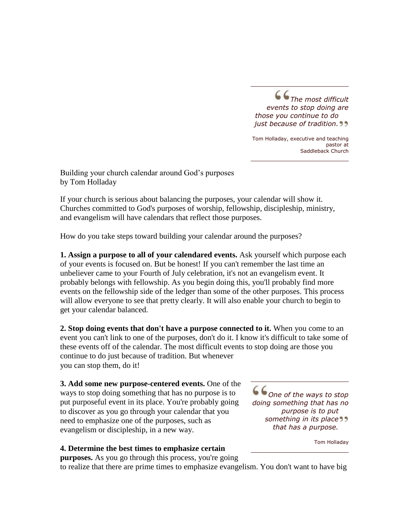*The most difficult events to stop doing are those you continue to do just because of tradition.*

Tom Holladay, executive and teaching pastor at Saddleback Church

Building your church calendar around God's purposes by Tom Holladay

If your church is serious about balancing the purposes, your calendar will show it. Churches committed to God's purposes of worship, fellowship, discipleship, ministry, and evangelism will have calendars that reflect those purposes.

How do you take steps toward building your calendar around the purposes?

**1. Assign a purpose to all of your calendared events.** Ask yourself which purpose each of your events is focused on. But be honest! If you can't remember the last time an unbeliever came to your Fourth of July celebration, it's not an evangelism event. It probably belongs with fellowship. As you begin doing this, you'll probably find more events on the fellowship side of the ledger than some of the other purposes. This process will allow everyone to see that pretty clearly. It will also enable your church to begin to get your calendar balanced.

**2. Stop doing events that don't have a purpose connected to it.** When you come to an event you can't link to one of the purposes, don't do it. I know it's difficult to take some of these events off of the calendar. The most difficult events to stop doing are those you continue to do just because of tradition. But whenever you can stop them, do it!

**3. Add some new purpose-centered events.** One of the ways to stop doing something that has no purpose is to put purposeful event in its place. You're probably going to discover as you go through your calendar that you need to emphasize one of the purposes, such as evangelism or discipleship, in a new way.

*One of the ways to stop doing something that has no purpose is to put something in its place that has a purpose.*

Tom Holladay

## **4. Determine the best times to emphasize certain**

**purposes.** As you go through this process, you're going

to realize that there are prime times to emphasize evangelism. You don't want to have big